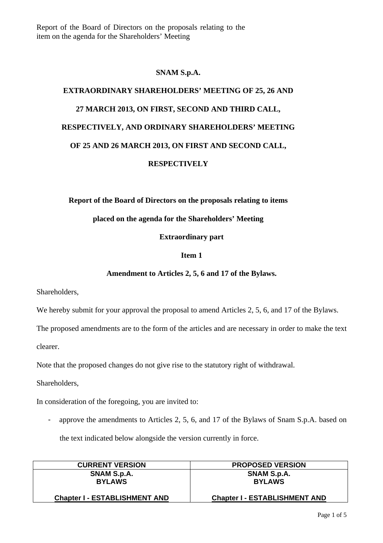Report of the Board of Directors on the proposals relating to the item on the agenda for the Shareholders' Meeting

# **SNAM S.p.A.**

# **EXTRAORDINARY SHAREHOLDERS' MEETING OF 25, 26 AND 27 MARCH 2013, ON FIRST, SECOND AND THIRD CALL, RESPECTIVELY, AND ORDINARY SHAREHOLDERS' MEETING OF 25 AND 26 MARCH 2013, ON FIRST AND SECOND CALL, RESPECTIVELY**

**Report of the Board of Directors on the proposals relating to items** 

# **placed on the agenda for the Shareholders' Meeting**

**Extraordinary part** 

## **Item 1**

## **Amendment to Articles 2, 5, 6 and 17 of the Bylaws.**

Shareholders,

We hereby submit for your approval the proposal to amend Articles 2, 5, 6, and 17 of the Bylaws.

The proposed amendments are to the form of the articles and are necessary in order to make the text

clearer.

Note that the proposed changes do not give rise to the statutory right of withdrawal.

Shareholders,

In consideration of the foregoing, you are invited to:

- approve the amendments to Articles 2, 5, 6, and 17 of the Bylaws of Snam S.p.A. based on the text indicated below alongside the version currently in force.

| <b>CURRENT VERSION</b>               | <b>PROPOSED VERSION</b>              |
|--------------------------------------|--------------------------------------|
| SNAM S.p.A.                          | SNAM S.p.A.                          |
| <b>BYLAWS</b>                        | <b>BYLAWS</b>                        |
| <b>Chapter I - ESTABLISHMENT AND</b> | <b>Chapter I - ESTABLISHMENT AND</b> |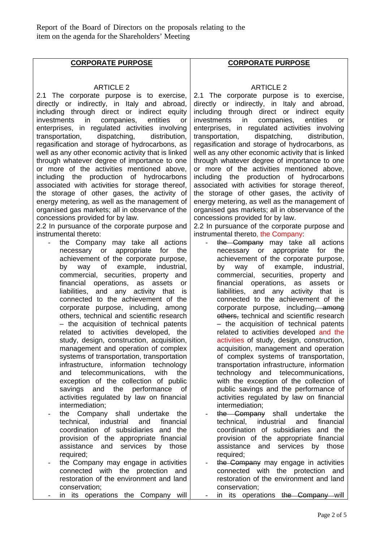Report of the Board of Directors on the proposals relating to the item on the agenda for the Shareholders' Meeting

# **CORPORATE PURPOSE**

#### ARTICLE 2

2.1 The corporate purpose is to exercise, directly or indirectly, in Italy and abroad, including through direct or indirect equity investments in companies, entities or enterprises, in regulated activities involving transportation, dispatching, distribution, regasification and storage of hydrocarbons, as well as any other economic activity that is linked through whatever degree of importance to one or more of the activities mentioned above, including the production of hydrocarbons associated with activities for storage thereof, the storage of other gases, the activity of energy metering, as well as the management of organised gas markets; all in observance of the concessions provided for by law.

2.2 In pursuance of the corporate purpose and instrumental thereto:

- the Company may take all actions necessary or appropriate for the achievement of the corporate purpose, by way of example, industrial, commercial, securities, property and financial operations, as assets or liabilities, and any activity that is connected to the achievement of the corporate purpose, including, among others, technical and scientific research – the acquisition of technical patents related to activities developed, the study, design, construction, acquisition, management and operation of complex systems of transportation, transportation infrastructure, information technology and telecommunications, with the exception of the collection of public savings and the performance of activities regulated by law on financial intermediation;
- the Company shall undertake the technical, industrial and financial coordination of subsidiaries and the provision of the appropriate financial assistance and services by those required;
- the Company may engage in activities connected with the protection and restoration of the environment and land conservation;
- in its operations the Company will

# **CORPORATE PURPOSE**

#### ARTICLE 2

2.1 The corporate purpose is to exercise, directly or indirectly, in Italy and abroad, including through direct or indirect equity investments in companies, entities or enterprises, in regulated activities involving transportation, dispatching, distribution, regasification and storage of hydrocarbons, as well as any other economic activity that is linked through whatever degree of importance to one or more of the activities mentioned above, including the production of hydrocarbons associated with activities for storage thereof, the storage of other gases, the activity of energy metering, as well as the management of organised gas markets; all in observance of the concessions provided for by law.

2.2 In pursuance of the corporate purpose and instrumental thereto, the Company:

- the Company may take all actions necessary or appropriate for the achievement of the corporate purpose, by way of example, industrial, commercial, securities, property and financial operations, as assets or liabilities, and any activity that is connected to the achievement of the corporate purpose, including, among others, technical and scientific research – the acquisition of technical patents related to activities developed and the activities of study, design, construction, acquisition, management and operation of complex systems of transportation, transportation infrastructure, information technology and telecommunications, with the exception of the collection of public savings and the performance of activities regulated by law on financial intermediation;
- the Company shall undertake the technical, industrial and financial coordination of subsidiaries and the provision of the appropriate financial assistance and services by those required;
- the Company may engage in activities connected with the protection and restoration of the environment and land conservation;
	- in its operations the Company will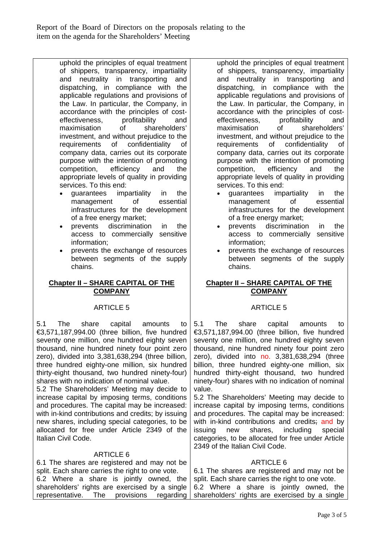Report of the Board of Directors on the proposals relating to the item on the agenda for the Shareholders' Meeting

> uphold the principles of equal treatment of shippers, transparency, impartiality and neutrality in transporting and dispatching, in compliance with the applicable regulations and provisions of the Law. In particular, the Company, in accordance with the principles of costeffectiveness, profitability and maximisation of shareholders' investment, and without prejudice to the requirements of confidentiality of company data, carries out its corporate purpose with the intention of promoting competition, efficiency and the appropriate levels of quality in providing services. To this end:

- guarantees impartiality in the management of essential infrastructures for the development of a free energy market;
- prevents discrimination in the access to commercially sensitive information;
- prevents the exchange of resources between segments of the supply chains.

# **Chapter II – SHARE CAPITAL OF THE COMPANY**

# ARTICLE 5

5.1 The share capital amounts to €3,571,187,994.00 (three billion, five hundred seventy one million, one hundred eighty seven thousand, nine hundred ninety four point zero zero), divided into 3,381,638,294 (three billion, three hundred eighty-one million, six hundred thirty-eight thousand, two hundred ninety-four) shares with no indication of nominal value.

5.2 The Shareholders' Meeting may decide to increase capital by imposing terms, conditions and procedures. The capital may be increased: with in-kind contributions and credits; by issuing new shares, including special categories, to be allocated for free under Article 2349 of the Italian Civil Code.

# ARTICLE 6

6.1 The shares are registered and may not be split. Each share carries the right to one vote. 6.2 Where a share is jointly owned, the shareholders' rights are exercised by a single representative. The provisions regarding

uphold the principles of equal treatment of shippers, transparency, impartiality and neutrality in transporting and dispatching, in compliance with the applicable regulations and provisions of the Law. In particular, the Company, in accordance with the principles of cost-<br>effectiveness, profitability and effectiveness, profitability and maximisation of shareholders' investment, and without prejudice to the requirements of confidentiality of company data, carries out its corporate purpose with the intention of promoting competition, efficiency and the appropriate levels of quality in providing services. To this end:

- guarantees impartiality in the management of essential infrastructures for the development of a free energy market;
- prevents discrimination in the access to commercially sensitive information;
- prevents the exchange of resources between segments of the supply chains.

# **Chapter II – SHARE CAPITAL OF THE COMPANY**

# ARTICLE 5

5.1 The share capital amounts to €3,571,187,994.00 (three billion, five hundred seventy one million, one hundred eighty seven thousand, nine hundred ninety four point zero zero), divided into no. 3,381,638,294 (three billion, three hundred eighty-one million, six hundred thirty-eight thousand, two hundred ninety-four) shares with no indication of nominal value.

5.2 The Shareholders' Meeting may decide to increase capital by imposing terms, conditions and procedures. The capital may be increased: with in-kind contributions and credits; and by issuing new shares, including special categories, to be allocated for free under Article 2349 of the Italian Civil Code.

# ARTICLE 6

6.1 The shares are registered and may not be split. Each share carries the right to one vote. 6.2 Where a share is jointly owned, the shareholders' rights are exercised by a single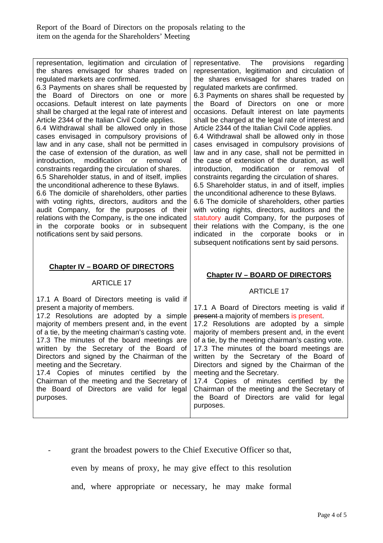representation, legitimation and circulation of the shares envisaged for shares traded on regulated markets are confirmed. 6.3 Payments on shares shall be requested by the Board of Directors on one or more occasions. Default interest on late payments shall be charged at the legal rate of interest and Article 2344 of the Italian Civil Code applies. 6.4 Withdrawal shall be allowed only in those cases envisaged in compulsory provisions of law and in any case, shall not be permitted in the case of extension of the duration, as well introduction, modification or removal of constraints regarding the circulation of shares. 6.5 Shareholder status, in and of itself, implies the unconditional adherence to these Bylaws. 6.6 The domicile of shareholders, other parties with voting rights, directors, auditors and the audit Company, for the purposes of their relations with the Company, is the one indicated in the corporate books or in subsequent notifications sent by said persons. **Chapter IV – BOARD OF DIRECTORS**  ARTICLE 17 17.1 A Board of Directors meeting is valid if present a majority of members. 17.2 Resolutions are adopted by a simple majority of members present and, in the event of a tie, by the meeting chairman's casting vote. 17.3 The minutes of the board meetings are written by the Secretary of the Board of Directors and signed by the Chairman of the meeting and the Secretary. 17.4 Copies of minutes certified by the Chairman of the meeting and the Secretary of the Board of Directors are valid for legal purposes. representative. The provisions regarding representation, legitimation and circulation of the shares envisaged for shares traded on regulated markets are confirmed. 6.3 Payments on shares shall be requested by the Board of Directors on one or more occasions. Default interest on late payments shall be charged at the legal rate of interest and Article 2344 of the Italian Civil Code applies. 6.4 Withdrawal shall be allowed only in those cases envisaged in compulsory provisions of law and in any case, shall not be permitted in the case of extension of the duration, as well introduction, modification or removal of constraints regarding the circulation of shares. 6.5 Shareholder status, in and of itself, implies the unconditional adherence to these Bylaws. 6.6 The domicile of shareholders, other parties with voting rights, directors, auditors and the statutory audit Company, for the purposes of their relations with the Company, is the one indicated in the corporate books or in subsequent notifications sent by said persons. **Chapter IV – BOARD OF DIRECTORS**  ARTICLE 17 17.1 A Board of Directors meeting is valid if present a majority of members is present. 17.2 Resolutions are adopted by a simple majority of members present and, in the event of a tie, by the meeting chairman's casting vote. 17.3 The minutes of the board meetings are written by the Secretary of the Board of Directors and signed by the Chairman of the meeting and the Secretary. 17.4 Copies of minutes certified by the Chairman of the meeting and the Secretary of the Board of Directors are valid for legal purposes.

- grant the broadest powers to the Chief Executive Officer so that,

even by means of proxy, he may give effect to this resolution

and, where appropriate or necessary, he may make formal